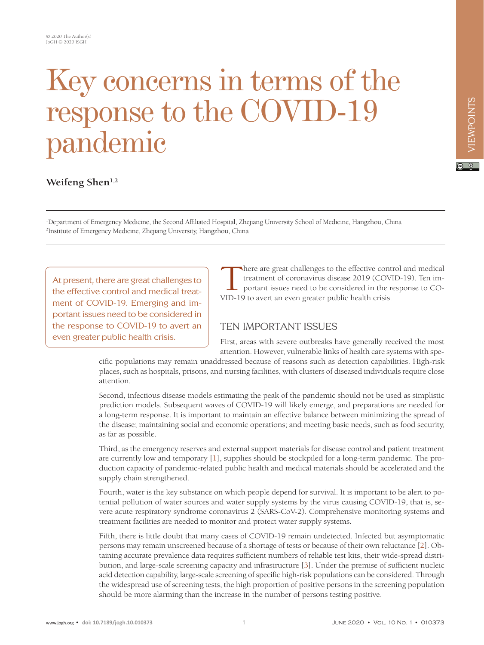# Key concerns in terms of the response to the COVID-19 pandemic

## Weifeng Shen<sup>1,2</sup>

1 Department of Emergency Medicine, the Second Affiliated Hospital, Zhejiang University School of Medicine, Hangzhou, China 2 Institute of Emergency Medicine, Zhejiang University, Hangzhou, China

At present, there are great challenges to the effective control and medical treatment of COVID-19. Emerging and important issues need to be considered in the response to COVID-19 to avert an even greater public health crisis.

There are great challenges to the effective control and medical<br>treatment of coronavirus disease 2019 (COVID-19). Ten im-<br>portant issues need to be considered in the response to CO-<br>VID-19 to avert an even greater public h treatment of coronavirus disease 2019 (COVID-19). Ten important issues need to be considered in the response to CO-VID-19 to avert an even greater public health crisis.

### TEN IMPORTANT ISSUES

First, areas with severe outbreaks have generally received the most attention. However, vulnerable links of health care systems with spe-

cific populations may remain unaddressed because of reasons such as detection capabilities. High-risk places, such as hospitals, prisons, and nursing facilities, with clusters of diseased individuals require close attention.

Second, infectious disease models estimating the peak of the pandemic should not be used as simplistic prediction models. Subsequent waves of COVID-19 will likely emerge, and preparations are needed for a long-term response. It is important to maintain an effective balance between minimizing the spread of the disease; maintaining social and economic operations; and meeting basic needs, such as food security, as far as possible.

Third, as the emergency reserves and external support materials for disease control and patient treatment are currently low and temporary [[1\]](#page-2-0), supplies should be stockpiled for a long-term pandemic. The production capacity of pandemic-related public health and medical materials should be accelerated and the supply chain strengthened.

Fourth, water is the key substance on which people depend for survival. It is important to be alert to potential pollution of water sources and water supply systems by the virus causing COVID-19, that is, severe acute respiratory syndrome coronavirus 2 (SARS-CoV-2). Comprehensive monitoring systems and treatment facilities are needed to monitor and protect water supply systems.

Fifth, there is little doubt that many cases of COVID-19 remain undetected. Infected but asymptomatic persons may remain unscreened because of a shortage of tests or because of their own reluctance [\[2](#page-2-1)]. Obtaining accurate prevalence data requires sufficient numbers of reliable test kits, their wide-spread distribution, and large-scale screening capacity and infrastructure [\[3](#page-2-2)]. Under the premise of sufficient nucleic acid detection capability, large-scale screening of specific high-risk populations can be considered. Through the widespread use of screening tests, the high proportion of positive persons in the screening population should be more alarming than the increase in the number of persons testing positive.

 $\boxed{6}$  0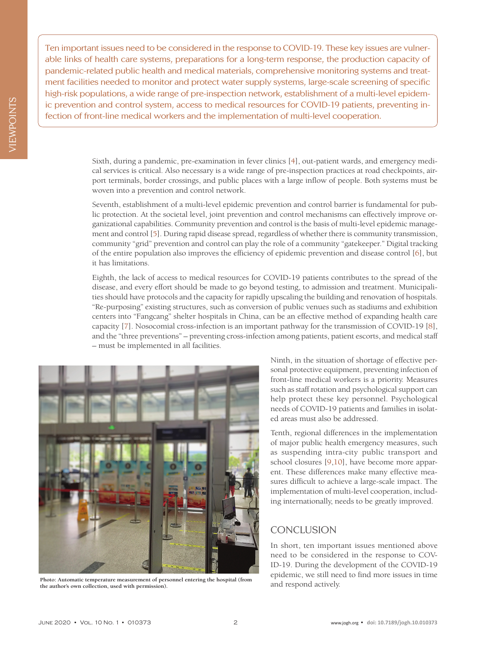Ten important issues need to be considered in the response to COVID-19. These key issues are vulnerable links of health care systems, preparations for a long-term response, the production capacity of pandemic-related public health and medical materials, comprehensive monitoring systems and treatment facilities needed to monitor and protect water supply systems, large-scale screening of specific high-risk populations, a wide range of pre-inspection network, establishment of a multi-level epidemic prevention and control system, access to medical resources for COVID-19 patients, preventing infection of front-line medical workers and the implementation of multi-level cooperation.

> Sixth, during a pandemic, pre-examination in fever clinics [\[4](#page-2-3)], out-patient wards, and emergency medical services is critical. Also necessary is a wide range of pre-inspection practices at road checkpoints, airport terminals, border crossings, and public places with a large inflow of people. Both systems must be woven into a prevention and control network.

> Seventh, establishment of a multi-level epidemic prevention and control barrier is fundamental for public protection. At the societal level, joint prevention and control mechanisms can effectively improve organizational capabilities. Community prevention and control is the basis of multi-level epidemic management and control [\[5](#page-2-4)]. During rapid disease spread, regardless of whether there is community transmission, community "grid" prevention and control can play the role of a community "gatekeeper." Digital tracking of the entire population also improves the efficiency of epidemic prevention and disease control [[6](#page-2-5)], but it has limitations.

> Eighth, the lack of access to medical resources for COVID-19 patients contributes to the spread of the disease, and every effort should be made to go beyond testing, to admission and treatment. Municipalities should have protocols and the capacity for rapidly upscaling the building and renovation of hospitals. "Re-purposing" existing structures, such as conversion of public venues such as stadiums and exhibition centers into "Fangcang" shelter hospitals in China, can be an effective method of expanding health care capacity [[7](#page-2-6)]. Nosocomial cross-infection is an important pathway for the transmission of COVID-19 [\[8\]](#page-2-7), and the "three preventions" – preventing cross-infection among patients, patient escorts, and medical staff – must be implemented in all facilities.



Photo: Automatic temperature measurement of personnel entering the hospital (from the author's own collection, used with permission). and respond actively. **the author's own collection, used with permission).**

Ninth, in the situation of shortage of effective personal protective equipment, preventing infection of front-line medical workers is a priority. Measures such as staff rotation and psychological support can help protect these key personnel. Psychological needs of COVID-19 patients and families in isolated areas must also be addressed.

Tenth, regional differences in the implementation of major public health emergency measures, such as suspending intra-city public transport and school closures [[9,](#page-2-8)[10](#page-2-9)], have become more apparent. These differences make many effective measures difficult to achieve a large-scale impact. The implementation of multi-level cooperation, including internationally, needs to be greatly improved.

#### **CONCLUSION**

In short, ten important issues mentioned above need to be considered in the response to COV-ID-19. During the development of the COVID-19 epidemic, we still need to find more issues in time